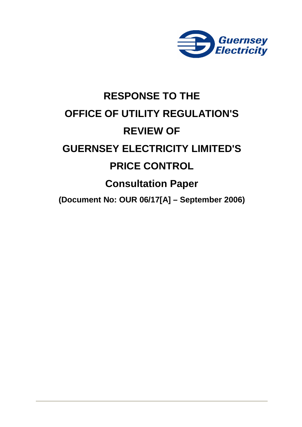

# **RESPONSE TO THE OFFICE OF UTILITY REGULATION'S REVIEW OF GUERNSEY ELECTRICITY LIMITED'S PRICE CONTROL Consultation Paper (Document No: OUR 06/17[A] – September 2006)**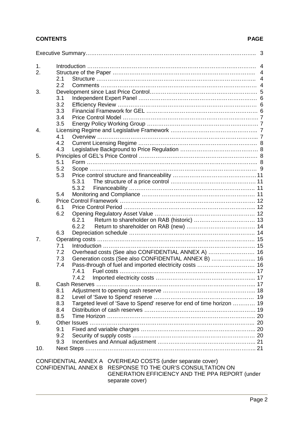# **CONTENTS PAGE**

| 1.  |                                                                              |  |
|-----|------------------------------------------------------------------------------|--|
| 2.  |                                                                              |  |
|     | 2.1                                                                          |  |
|     | 2.2                                                                          |  |
| 3.  |                                                                              |  |
|     | 3.1                                                                          |  |
|     | 3.2                                                                          |  |
|     | 3.3                                                                          |  |
|     | 3.4                                                                          |  |
|     | 3.5                                                                          |  |
| 4.  |                                                                              |  |
|     | 4.1                                                                          |  |
|     | 4.2                                                                          |  |
|     | 4.3                                                                          |  |
| 5.  |                                                                              |  |
|     | 5.1                                                                          |  |
|     | 5.2                                                                          |  |
|     | 5.3                                                                          |  |
|     | 5.3.1                                                                        |  |
|     | 5.3.2                                                                        |  |
|     | 5.4                                                                          |  |
| 6.  |                                                                              |  |
|     | 6.1                                                                          |  |
|     | 6.2                                                                          |  |
|     | 6.2.1                                                                        |  |
|     | 6.2.2                                                                        |  |
|     | 6.3                                                                          |  |
| 7.  |                                                                              |  |
|     | 7.1                                                                          |  |
|     | Overhead costs (See also CONFIDENTIAL ANNEX A)  16<br>7.2                    |  |
|     | Generation costs (See also CONFIDENTIAL ANNEX B)  16<br>7.3                  |  |
|     | 7.4                                                                          |  |
|     | 7.4.1                                                                        |  |
|     |                                                                              |  |
| 8.  |                                                                              |  |
|     | 8.1                                                                          |  |
|     | 8.2                                                                          |  |
|     | Targeted level of 'Save to Spend' reserve for end of time horizon  19<br>8.3 |  |
|     | 8.4                                                                          |  |
|     | 8.5                                                                          |  |
| 9.  | 9.1                                                                          |  |
|     |                                                                              |  |
|     | 9.2                                                                          |  |
|     | 9.3                                                                          |  |
| 10. |                                                                              |  |
|     | CONFIDENTIAL ANNEX A OVERHEAD COSTS (under separate cover)                   |  |
|     | CONFIDENTIAL ANNEX B RESPONSE TO THE OUR'S CONSULTATION ON                   |  |

GENERATION EFFICIENCY AND THE PPA REPORT (under separate cover)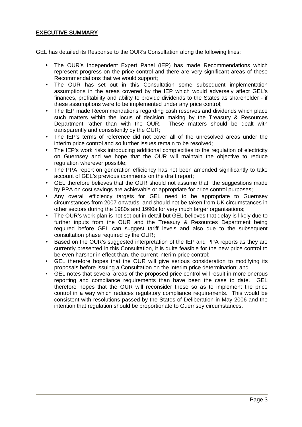#### **EXECUTIVE SUMMARY**

GEL has detailed its Response to the OUR's Consultation along the following lines:

- The OUR's Independent Expert Panel (IEP) has made Recommendations which represent progress on the price control and there are very significant areas of these Recommendations that we would support;
- The OUR has set out in this Consultation some subsequent implementation assumptions in the areas covered by the IEP which would adversely affect GEL's finances, profitability and ability to provide dividends to the States as shareholder - if these assumptions were to be implemented under any price control;
- The IEP made Recommendations regarding cash reserves and dividends which place such matters within the locus of decision making by the Treasury & Resources Department rather than with the OUR. These matters should be dealt with transparently and consistently by the OUR;
- The IEP's terms of reference did not cover all of the unresolved areas under the interim price control and so further issues remain to be resolved;
- The IEP's work risks introducing additional complexities to the regulation of electricity on Guernsey and we hope that the OUR will maintain the objective to reduce regulation wherever possible;
- The PPA report on generation efficiency has not been amended significantly to take account of GEL's previous comments on the draft report;
- GEL therefore believes that the OUR should not assume that the suggestions made by PPA on cost savings are achievable or appropriate for price control purposes;
- Any overall efficiency targets for GEL need to be appropriate to Guernsey circumstances from 2007 onwards, and should not be taken from UK circumstances in other sectors during the 1980s and 1990s for very much larger organisations;
- The OUR's work plan is not set out in detail but GEL believes that delay is likely due to further inputs from the OUR and the Treasury & Resources Department being required before GEL can suggest tariff levels and also due to the subsequent consultation phase required by the OUR;
- Based on the OUR's suggested interpretation of the IEP and PPA reports as they are currently presented in this Consultation, it is quite feasible for the new price control to be even harsher in effect than, the current interim price control;
- GEL therefore hopes that the OUR will give serious consideration to modifying its proposals before issuing a Consultation on the interim price determination; and
- GEL notes that several areas of the proposed price control will result in more onerous reporting and compliance requirements than have been the case to date. GEL therefore hopes that the OUR will reconsider these so as to implement the price control in a way which reduces regulatory compliance requirements. This would be consistent with resolutions passed by the States of Deliberation in May 2006 and the intention that regulation should be proportionate to Guernsey circumstances.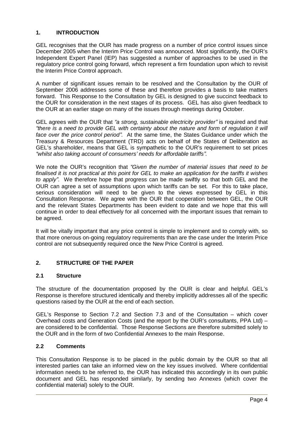#### **1. INTRODUCTION**

GEL recognises that the OUR has made progress on a number of price control issues since December 2005 when the Interim Price Control was announced. Most significantly, the OUR's Independent Expert Panel (IEP) has suggested a number of approaches to be used in the regulatory price control going forward, which represent a firm foundation upon which to revisit the Interim Price Control approach.

A number of significant issues remain to be resolved and the Consultation by the OUR of September 2006 addresses some of these and therefore provides a basis to take matters forward. This Response to the Consultation by GEL is designed to give succinct feedback to the OUR for consideration in the next stages of its process. GEL has also given feedback to the OUR at an earlier stage on many of the issues through meetings during October.

GEL agrees with the OUR that *³a strong, sustainable electricity provider´* is required and that *³there is a need to provide GEL with certainty about the nature and form of regulation it will face over the price control period´.* At the same time, the States Guidance under which the Treasury & Resources Department (TRD) acts on behalf of the States of Deliberation as GEL's shareholder, means that GEL is sympathetic to the OUR's requirement to set prices *³whilst also taking account of consumers¶ needs for affordable tariffs´.*

We note the OUR's recognition that "Given the number of material issues that need to be *finalised it is not practical at this point for GEL to make an application for the tariffs it wishes to apply´*. We therefore hope that progress can be made swiftly so that both GEL and the OUR can agree a set of assumptions upon which tariffs can be set. For this to take place, serious consideration will need to be given to the views expressed by GEL in this Consultation Response. We agree with the OUR that cooperation between GEL, the OUR and the relevant States Departments has been evident to date and we hope that this will continue in order to deal effectively for all concerned with the important issues that remain to be agreed.

It will be vitally important that any price control is simple to implement and to comply with, so that more onerous on-going regulatory requirements than are the case under the Interim Price control are not subsequently required once the New Price Control is agreed.

# **2. STRUCTURE OF THE PAPER**

#### **2.1 Structure**

The structure of the documentation proposed by the OUR is clear and helpful. GEL's Response is therefore structured identically and thereby implicitly addresses all of the specific questions raised by the OUR at the end of each section.

GEL's Response to Section 7.2 and Section 7.3 and of the Consultation – which cover Overhead costs and Generation Costs (and the report by the OUR's consultants, PPA Ltd) – are considered to be confidential. Those Response Sections are therefore submitted solely to the OUR and in the form of two Confidential Annexes to the main Response.

#### **2.2 Comments**

This Consultation Response is to be placed in the public domain by the OUR so that all interested parties can take an informed view on the key issues involved. Where confidential information needs to be referred to, the OUR has indicated this accordingly in its own public document and GEL has responded similarly, by sending two Annexes (which cover the confidential material) solely to the OUR.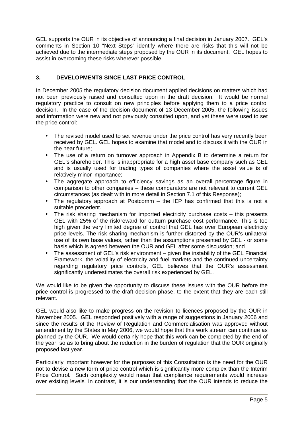GEL supports the OUR in its objective of announcing a final decision in January 2007. GEL's comments in Section 10 "Next Steps" identify where there are risks that this will not be achieved due to the intermediate steps proposed by the OUR in its document. GEL hopes to assist in overcoming these risks wherever possible.

# **3. DEVELOPMENTS SINCE LAST PRICE CONTROL**

In December 2005 the regulatory decision document applied decisions on matters which had not been previously raised and consulted upon in the draft decision. It would be normal regulatory practice to consult on new principles before applying them to a price control decision. In the case of the decision document of 13 December 2005, the following issues and information were new and not previously consulted upon, and yet these were used to set the price control:

- The revised model used to set revenue under the price control has very recently been received by GEL. GEL hopes to examine that model and to discuss it with the OUR in the near future;
- The use of a return on turnover approach in Appendix B to determine a return for GEL's shareholder. This is inappropriate for a high asset base company such as GEL and is usually used for trading types of companies where the asset value is of relatively minor importance;
- The aggregate approach to efficiency savings as an overall percentage figure in comparison to other companies – these comparators are not relevant to current GEL circumstances (as dealt with in more detail in Section 7.1 of this Response);
- The regulatory approach at Postcomm the IEP has confirmed that this is not a suitable precedent.
- The risk sharing mechanism for imported electricity purchase costs this presents GEL with 25% of the risk/reward for outturn purchase cost performance. This is too high given the very limited degree of control that GEL has over European electricity price levels. The risk sharing mechanism is further distorted by the OUR's unilateral use of its own base values, rather than the assumptions presented by GEL - or some basis which is agreed between the OUR and GEL after some discussion; and
- The assessment of GEL's risk environment given the instability of the GEL Financial Framework, the volatility of electricity and fuel markets and the continued uncertainty regarding regulatory price controls, GEL believes that the OUR's assessment significantly underestimates the overall risk experienced by GEL.

We would like to be given the opportunity to discuss these issues with the OUR before the price control is progressed to the draft decision phase, to the extent that they are each still relevant.

GEL would also like to make progress on the revision to licences proposed by the OUR in November 2005. GEL responded positively with a range of suggestions in January 2006 and since the results of the Review of Regulation and Commercialisation was approved without amendment by the States in May 2006, we would hope that this work stream can continue as planned by the OUR. We would certainly hope that this work can be completed by the end of the year, so as to bring about the reduction in the burden of regulation that the OUR originally proposed last year.

Particularly important however for the purposes of this Consultation is the need for the OUR not to devise a new form of price control which is significantly more complex than the Interim Price Control. Such complexity would mean that compliance requirements would increase over existing levels. In contrast, it is our understanding that the OUR intends to reduce the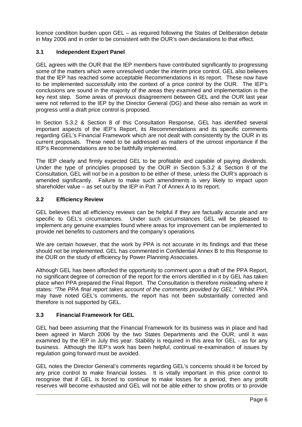licence condition burden upon GEL – as required following the States of Deliberation debate in May 2006 and in order to be consistent with the OUR's own declarations to that effect.

#### **3.1 Independent Expert Panel**

GEL agrees with the OUR that the IEP members have contributed significantly to progressing some of the matters which were unresolved under the interim price control. GEL also believes that the IEP has reached some acceptable Recommendations in its report. These now have to be implemented successfully into the context of a price control by the OUR. The IEP's conclusions are sound in the majority of the areas they examined and implementation is the key next step. Some areas of previous disagreement between GEL and the OUR last year were not referred to the IEP by the Director General (DG) and these also remain as work in progress until a draft price control is proposed.

In Section 5.3.2 & Section 8 of this Consultation Response, GEL has identified several important aspects of the IEP's Report, its Recommendations and its specific comments regarding GEL's Financial Framework which are not dealt with consistently by the OUR in its current proposals. These need to be addressed as matters of the utmost importance if the IEP's Recommendations are to be faithfully implemented.

The IEP clearly and firmly expected GEL to be profitable and capable of paying dividends. Under the type of principles proposed by the OUR in Section 5.3.2 & Section 8 of the Consultation, GEL will not be in a position to be either of these, unless the OUR's approach is amended significantly. Failure to make such amendments is very likely to impact upon shareholder value – as set out by the IEP in Part 7 of Annex A to its report.

#### **3.2 Efficiency Review**

GEL believes that all efficiency reviews can be helpful if they are factually accurate and are specific to GEL's circumstances. Under such circumstances GEL will be pleased to implement any genuine examples found where areas for improvement can be implemented to provide net benefits to customers and the company's operations.

We are certain however, that the work by PPA is not accurate in its findings and that these should not be implemented. GEL has commented in Confidential Annex B to this Response to the OUR on the study of efficiency by Power Planning Associates.

Although GEL has been afforded the opportunity to comment upon a draft of the PPA Report, no significant degree of correction of the report for the errors identified in it by GEL has taken place when PPA prepared the Final Report. The Consultation is therefore misleading where it states: "The PPA final report takes account of the comments provided by GEL." Whilst PPA may have noted GEL's comments, the report has not been substantially corrected and therefore is not supported by GEL.

#### **3.3 Financial Framework for GEL**

GEL had been assuming that the Financial Framework for its business was in place and had been agreed in March 2006 by the two States Departments and the OUR, until it was examined by the IEP in July this year. Stability is required in this area for GEL - as for any business. Although the IEP's work has been helpful, continual re-examination of issues by regulation going forward must be avoided.

GEL notes the Director General's comments regarding GEL's concerns should it be forced by any price control to make financial losses. It is vitally important in this price control to recognise that if GEL is forced to continue to make losses for a period, then any profit reserves will become exhausted and GEL will not be able either to show profits or to provide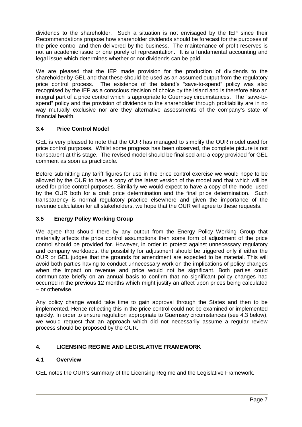dividends to the shareholder. Such a situation is not envisaged by the IEP since their Recommendations propose how shareholder dividends should be forecast for the purposes of the price control and then delivered by the business. The maintenance of profit reserves is not an academic issue or one purely of representation. It is a fundamental accounting and legal issue which determines whether or not dividends can be paid.

We are pleased that the IEP made provision for the production of dividends to the shareholder by GEL and that these should be used as an assumed output from the regulatory price control process. The existence of the island's "save-to-spend" policy was also recognised by the IEP as a conscious decision of choice by the island and is therefore also an integral part of a price control which is appropriate to Guernsey circumstances. The "save-tospend" policy and the provision of dividends to the shareholder through profitability are in no way mutually exclusive nor are they alternative assessments of the company's state of financial health.

# **3.4 Price Control Model**

GEL is very pleased to note that the OUR has managed to simplify the OUR model used for price control purposes. Whilst some progress has been observed, the complete picture is not transparent at this stage. The revised model should be finalised and a copy provided for GEL comment as soon as practicable.

Before submitting any tariff figures for use in the price control exercise we would hope to be allowed by the OUR to have a copy of the latest version of the model and that which will be used for price control purposes. Similarly we would expect to have a copy of the model used by the OUR both for a draft price determination and the final price determination. Such transparency is normal regulatory practice elsewhere and given the importance of the revenue calculation for all stakeholders, we hope that the OUR will agree to these requests.

# **3.5 Energy Policy Working Group**

We agree that should there by any output from the Energy Policy Working Group that materially affects the price control assumptions then some form of adjustment of the price control should be provided for. However, in order to protect against unnecessary regulatory and company workloads, the possibility for adjustment should be triggered only if either the OUR or GEL judges that the grounds for amendment are expected to be material. This will avoid both parties having to conduct unnecessary work on the implications of policy changes when the impact on revenue and price would not be significant. Both parties could communicate briefly on an annual basis to confirm that no significant policy changes had occurred in the previous 12 months which might justify an affect upon prices being calculated – or otherwise.

Any policy change would take time to gain approval through the States and then to be implemented. Hence reflecting this in the price control could not be examined or implemented quickly. In order to ensure regulation appropriate to Guernsey circumstances (see 4.3 below), we would request that an approach which did not necessarily assume a regular review process should be proposed by the OUR.

# **4. LICENSING REGIME AND LEGISLATIVE FRAMEWORK**

# **4.1 Overview**

GEL notes the OUR's summary of the Licensing Regime and the Legislative Framework.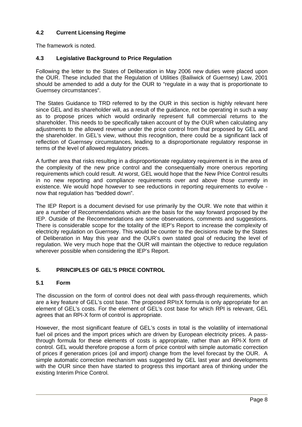# **4.2 Current Licensing Regime**

The framework is noted.

# **4.3 Legislative Background to Price Regulation**

Following the letter to the States of Deliberation in May 2006 new duties were placed upon the OUR. These included that the Regulation of Utilities (Bailiwick of Guernsey) Law, 2001 should be amended to add a duty for the OUR to "regulate in a way that is proportionate to Guernsey circumstances".

The States Guidance to TRD referred to by the OUR in this section is highly relevant here since GEL and its shareholder will, as a result of the guidance, not be operating in such a way as to propose prices which would ordinarily represent full commercial returns to the shareholder. This needs to be specifically taken account of by the OUR when calculating any adjustments to the allowed revenue under the price control from that proposed by GEL and the shareholder. In GEL's view, without this recognition, there could be a significant lack of reflection of Guernsey circumstances, leading to a disproportionate regulatory response in terms of the level of allowed regulatory prices.

A further area that risks resulting in a disproportionate regulatory requirement is in the area of the complexity of the new price control and the consequentially more onerous reporting requirements which could result. At worst, GEL would hope that the New Price Control results in no new reporting and compliance requirements over and above those currently in existence. We would hope however to see reductions in reporting requirements to evolve now that regulation has "bedded down".

The IEP Report is a document devised for use primarily by the OUR. We note that within it are a number of Recommendations which are the basis for the way forward proposed by the IEP. Outside of the Recommendations are some observations, comments and suggestions. There is considerable scope for the totality of the IEP's Report to increase the complexity of electricity regulation on Guernsey. This would be counter to the decisions made by the States of Deliberation in May this year and the OUR's own stated goal of reducing the level of regulation. We very much hope that the OUR will maintain the objective to reduce regulation wherever possible when considering the IEP's Report.

# **5. PRINCIPLES OF GEL'S PRICE CONTROL**

# **5.1 Form**

The discussion on the form of control does not deal with pass-through requirements, which are a key feature of GEL's cost base. The proposed RPI±X formula is only appropriate for an element of GEL's costs. For the element of GEL's cost base for which RPI is relevant, GEL agrees that an RPI-X form of control is appropriate.

However, the most significant feature of GEL's costs in total is the volatility of international fuel oil prices and the import prices which are driven by European electricity prices. A passthrough formula for these elements of costs is appropriate, rather than an RPI-X form of control. GEL would therefore propose a form of price control with simple automatic correction of prices if generation prices (oil and import) change from the level forecast by the OUR. A simple automatic correction mechanism was suggested by GEL last year and developments with the OUR since then have started to progress this important area of thinking under the existing Interim Price Control.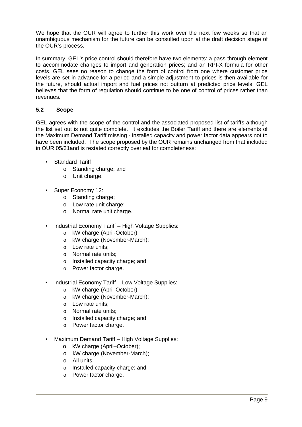We hope that the OUR will agree to further this work over the next few weeks so that an unambiguous mechanism for the future can be consulted upon at the draft decision stage of the OUR's process.

In summary, GEL's price control should therefore have two elements: a pass-through element to accommodate changes to import and generation prices; and an RPI-X formula for other costs. GEL sees no reason to change the form of control from one where customer price levels are set in advance for a period and a simple adjustment to prices is then available for the future, should actual import and fuel prices not outturn at predicted price levels. GEL believes that the form of regulation should continue to be one of control of prices rather than revenues.

#### **5.2 Scope**

GEL agrees with the scope of the control and the associated proposed list of tariffs although the list set out is not quite complete. It excludes the Boiler Tariff and there are elements of the Maximum Demand Tariff missing - installed capacity and power factor data appears not to have been included. The scope proposed by the OUR remains unchanged from that included in OUR 05/31and is restated correctly overleaf for completeness:

- Standard Tariff:
	- o Standing charge; and
	- o Unit charge.
- Super Economy 12:
	- o Standing charge;
	- o Low rate unit charge;
	- o Normal rate unit charge.
- Industrial Economy Tariff High Voltage Supplies:
	- o kW charge (April-October);
	- o kW charge (November-March);
	- o Low rate units;
	- o Normal rate units;
	- o Installed capacity charge; and
	- o Power factor charge.
- Industrial Economy Tariff Low Voltage Supplies:
	- o kW charge (April-October);
	- o kW charge (November-March);
	- o Low rate units:
	- o Normal rate units;
	- o Installed capacity charge; and
	- o Power factor charge.
- Maximum Demand Tariff High Voltage Supplies:
	- o kW charge (April–October);
	- o kW charge (November-March);
	- o All units;
	- o Installed capacity charge; and
	- o Power factor charge.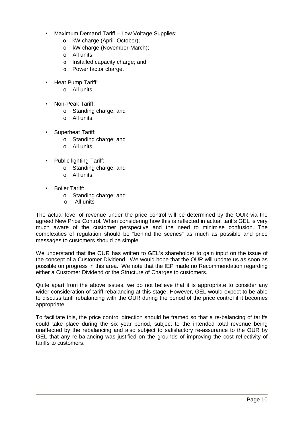- Maximum Demand Tariff Low Voltage Supplies:
	- o kW charge (April–October);
	- o kW charge (November-March);
	- o All units;
	- o Installed capacity charge; and
	- o Power factor charge.
- Heat Pump Tariff:
	- o All units.
- Non-Peak Tariff:
	- o Standing charge; and
	- o All units.
- Superheat Tariff:
	- o Standing charge; and
	- o All units.
- Public lighting Tariff:
	- o Standing charge; and
	- o All units.
- Boiler Tariff:
	- o Standing charge; and
	- o All units

The actual level of revenue under the price control will be determined by the OUR via the agreed New Price Control. When considering how this is reflected in actual tariffs GEL is very much aware of the customer perspective and the need to minimise confusion. The complexities of regulation should be "behind the scenes" as much as possible and price messages to customers should be simple.

We understand that the OUR has written to GEL's shareholder to gain input on the issue of the concept of a Customer Dividend. We would hope that the OUR will update us as soon as possible on progress in this area. We note that the IEP made no Recommendation regarding either a Customer Dividend or the Structure of Charges to customers.

Quite apart from the above issues, we do not believe that it is appropriate to consider any wider consideration of tariff rebalancing at this stage. However, GEL would expect to be able to discuss tariff rebalancing with the OUR during the period of the price control if it becomes appropriate.

To facilitate this, the price control direction should be framed so that a re-balancing of tariffs could take place during the six year period, subject to the intended total revenue being unaffected by the rebalancing and also subject to satisfactory re-assurance to the OUR by GEL that any re-balancing was justified on the grounds of improving the cost reflectivity of tariffs to customers.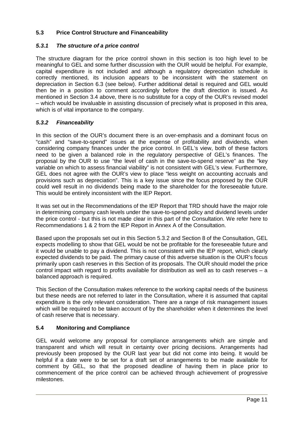# **5.3 Price Control Structure and Financeability**

# *5.3.1 The structure of a price control*

The structure diagram for the price control shown in this section is too high level to be meaningful to GEL and some further discussion with the OUR would be helpful. For example, capital expenditure is not included and although a regulatory depreciation schedule is correctly mentioned, its inclusion appears to be inconsistent with the statement on depreciation in Section 6.3 (see below). Further additional detail is required and GEL would then be in a position to comment accordingly before the draft direction is issued. As mentioned in Section 3.4 above, there is no substitute for a copy of the OUR's revised model – which would be invaluable in assisting discussion of precisely what is proposed in this area, which is of vital importance to the company.

#### *5.3.2 Financeability*

In this section of the OUR's document there is an over-emphasis and a dominant focus on "cash" and "save-to-spend" issues at the expense of profitability and dividends, when considering company finances under the price control. In GEL's view, both of these factors need to be given a balanced role in the regulatory perspective of GEL's finances. The proposal by the OUR to use "the level of cash in the save-to-spend reserve" as the "key variable on which to assess financial viability" is not consistent with GEL's view. Furthermore, GEL does not agree with the OUR's view to place "less weight on accounting accruals and provisions such as depreciation". This is a key issue since the focus proposed by the OUR could well result in no dividends being made to the shareholder for the foreseeable future. This would be entirely inconsistent with the IEP Report.

It was set out in the Recommendations of the IEP Report that TRD should have the major role in determining company cash levels under the save-to-spend policy and dividend levels under the price control - but this is not made clear in this part of the Consultation. We refer here to Recommendations 1 & 2 from the IEP Report in Annex A of the Consultation.

Based upon the proposals set out in this Section 5.3.2 and Section 8 of the Consultation, GEL expects modelling to show that GEL would be not be profitable for the foreseeable future and it would be unable to pay a dividend. This is not consistent with the IEP report, which clearly expected dividends to be paid. The primary cause of this adverse situation is the OUR's focus primarily upon cash reserves in this Section of its proposals. The OUR should model the price control impact with regard to profits available for distribution as well as to cash reserves  $-$  a balanced approach is required.

This Section of the Consultation makes reference to the working capital needs of the business but these needs are not referred to later in the Consultation, where it is assumed that capital expenditure is the only relevant consideration. There are a range of risk management issues which will be required to be taken account of by the shareholder when it determines the level of cash reserve that is necessary.

# **5.4 Monitoring and Compliance**

GEL would welcome any proposal for compliance arrangements which are simple and transparent and which will result in certainty over pricing decisions. Arrangements had previously been proposed by the OUR last year but did not come into being. It would be helpful if a date were to be set for a draft set of arrangements to be made available for comment by GEL, so that the proposed deadline of having them in place prior to commencement of the price control can be achieved through achievement of progressive milestones.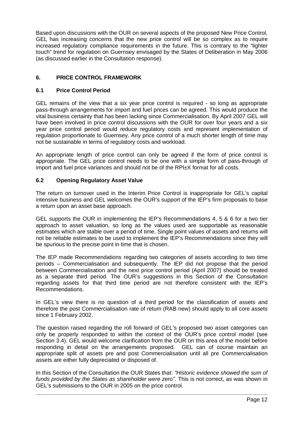Based upon discussions with the OUR on several aspects of the proposed New Price Control, GEL has increasing concerns that the new price control will be so complex as to require increased regulatory compliance requirements in the future. This is contrary to the "lighter touch" trend for regulation on Guernsey envisaged by the States of Deliberation in May 2006 (as discussed earlier in the Consultation response).

# **6. PRICE CONTROL FRAMEWORK**

#### **6.1 Price Control Period**

GEL remains of the view that a six year price control is required - so long as appropriate pass-through arrangements for import and fuel prices can be agreed. This would produce the vital business certainty that has been lacking since Commercialisation. By April 2007 GEL will have been involved in price control discussions with the OUR for over four years and a six year price control period would reduce regulatory costs and represent implementation of regulation proportionate to Guernsey. Any price control of a much shorter length of time may not be sustainable in terms of regulatory costs and workload.

An appropriate length of price control can only be agreed if the form of price control is appropriate. The GEL price control needs to be one with a simple form of pass-through of import and fuel price variances and should not be of the RPI±X format for all costs.

#### **6.2 Opening Regulatory Asset Value**

The return on turnover used in the Interim Price Control is inappropriate for GEL's capital intensive business and GEL welcomes the OUR's support of the IEP's firm proposals to base a return upon an asset base approach.

GEL supports the OUR in implementing the IEP's Recommendations 4, 5 & 6 for a two tier approach to asset valuation, so long as the values used are supportable as reasonable estimates which are stable over a period of time. Single point values of assets and returns will not be reliable estimates to be used to implement the IEP's Recommendations since they will be spurious to the precise point in time that is chosen.

The IEP made Recommendations regarding two categories of assets according to two time periods – Commercialisation and subsequently. The IEP did not propose that the period between Commercialisation and the next price control period (April 2007) should be treated as a separate third period. The OUR's suggestions in this Section of the Consultation regarding assets for that third time period are not therefore consistent with the IEP's Recommendations.

In GEL's view there is no question of a third period for the classification of assets and therefore the post Commercialisation rate of return (RAB new) should apply to all core assets since 1 February 2002.

The question raised regarding the roll forward of GEL's proposed two asset categories can only be properly responded to within the context of the OUR's price control model (see Section 3.4). GEL would welcome clarification from the OUR on this area of the model before responding in detail on the arrangements proposed. GEL can of course maintain an appropriate split of assets pre and post Commercialisation until all pre Commercialisation assets are either fully depreciated or disposed of.

In this Section of the Consultation the OUR States that: *³Historic evidence showed the sum of funds provided by the States as shareholder were zero´*. This is not correct, as was shown in GEL's submissions to the OUR in 2005 on the price control.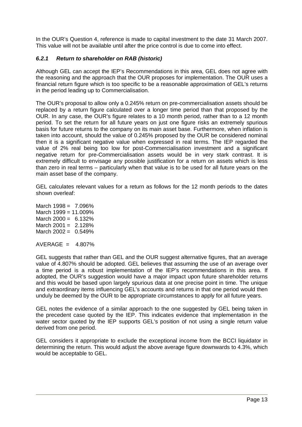In the OUR's Question 4, reference is made to capital investment to the date 31 March 2007. This value will not be available until after the price control is due to come into effect.

# *6.2.1 Return to shareholder on RAB (historic)*

Although GEL can accept the IEP's Recommendations in this area, GEL does not agree with the reasoning and the approach that the OUR proposes for implementation. The OUR uses a financial return figure which is too specific to be a reasonable approximation of GEL's returns in the period leading up to Commercialisation.

The OUR's proposal to allow only a 0.245% return on pre-commercialisation assets should be replaced by a return figure calculated over a longer time period than that proposed by the OUR. In any case, the OUR's figure relates to a 10 month period, rather than to a 12 month period. To set the return for all future years on just one figure risks an extremely spurious basis for future returns to the company on its main asset base. Furthermore, when inflation is taken into account, should the value of 0.245% proposed by the OUR be considered nominal then it is a significant negative value when expressed in real terms. The IEP regarded the value of 2% real being too low for post-Commercialisation investment and a significant negative return for pre-Commercialisation assets would be in very stark contrast. It is extremely difficult to envisage any possible justification for a return on assets which is less than zero in real terms – particularly when that value is to be used for all future years on the main asset base of the company.

GEL calculates relevant values for a return as follows for the 12 month periods to the dates shown overleaf:

March  $1998 = 7.096\%$ March 1999 = 11.009% March  $2000 = 6.132\%$ March  $2001 = 2.128%$ March  $2002 = 0.549%$ 

 $AVERAGE = 4.807%$ 

GEL suggests that rather than GEL and the OUR suggest alternative figures, that an average value of 4.807% should be adopted. GEL believes that assuming the use of an average over a time period is a robust implementation of the IEP's recommendations in this area. If adopted, the OUR's suggestion would have a major impact upon future shareholder returns and this would be based upon largely spurious data at one precise point in time. The unique and extraordinary items influencing GEL's accounts and returns in that one period would then unduly be deemed by the OUR to be appropriate circumstances to apply for all future years.

GEL notes the evidence of a similar approach to the one suggested by GEL being taken in the precedent case quoted by the IEP. This indicates evidence that implementation in the water sector quoted by the IEP supports GEL's position of not using a single return value derived from one period.

GEL considers it appropriate to exclude the exceptional income from the BCCI liquidator in determining the return. This would adjust the above average figure downwards to 4.3%, which would be acceptable to GEL.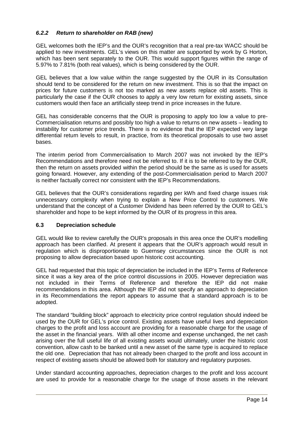# *6.2.2 Return to shareholder on RAB (new)*

GEL welcomes both the IEP's and the OUR's recognition that a real pre-tax WACC should be applied to new investments. GEL's views on this matter are supported by work by G Horton, which has been sent separately to the OUR. This would support figures within the range of 5.97% to 7.81% (both real values), which is being considered by the OUR.

GEL believes that a low value within the range suggested by the OUR in its Consultation should tend to be considered for the return on new investment. This is so that the impact on prices for future customers is not too marked as new assets replace old assets. This is particularly the case if the OUR chooses to apply a very low return for existing assets, since customers would then face an artificially steep trend in price increases in the future.

GEL has considerable concerns that the OUR is proposing to apply too low a value to pre-Commercialisation returns and possibly too high a value to returns on new assets – leading to instability for customer price trends. There is no evidence that the IEP expected very large differential return levels to result, in practice, from its theoretical proposals to use two asset bases.

The interim period from Commercialisation to March 2007 was not invoked by the IEP's Recommendations and therefore need not be referred to. If it is to be referred to by the OUR, then the return on assets provided within the period should be the same as is used for assets going forward. However, any extending of the post-Commercialisation period to March 2007 is neither factually correct nor consistent with the IEP's Recommendations.

GEL believes that the OUR's considerations regarding per kWh and fixed charge issues risk unnecessary complexity when trying to explain a New Price Control to customers. We understand that the concept of a Customer Dividend has been referred by the OUR to GEL's shareholder and hope to be kept informed by the OUR of its progress in this area.

#### **6.3 Depreciation schedule**

GEL would like to review carefully the OUR's proposals in this area once the OUR's modelling approach has been clarified. At present it appears that the OUR's approach would result in regulation which is disproportionate to Guernsey circumstances since the OUR is not proposing to allow depreciation based upon historic cost accounting.

GEL had requested that this topic of depreciation be included in the IEP's Terms of Reference since it was a key area of the price control discussions in 2005. However depreciation was not included in their Terms of Reference and therefore the IEP did not make recommendations in this area. Although the IEP did not specify an approach to depreciation in its Recommendations the report appears to assume that a standard approach is to be adopted.

The standard "building block" approach to electricity price control regulation should indeed be used by the OUR for GEL's price control. Existing assets have useful lives and depreciation charges to the profit and loss account are providing for a reasonable charge for the usage of the asset in the financial years. With all other income and expense unchanged, the net cash arising over the full useful life of all existing assets would ultimately, under the historic cost convention, allow cash to be banked until a new asset of the same type is acquired to replace the old one. Depreciation that has not already been charged to the profit and loss account in respect of existing assets should be allowed both for statutory and regulatory purposes.

Under standard accounting approaches, depreciation charges to the profit and loss account are used to provide for a reasonable charge for the usage of those assets in the relevant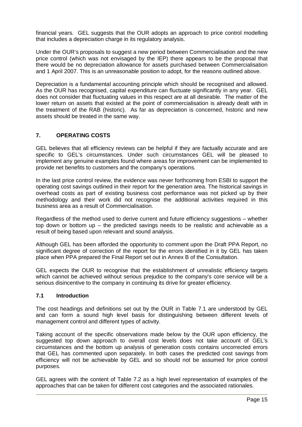financial years. GEL suggests that the OUR adopts an approach to price control modelling that includes a depreciation charge in its regulatory analysis.

Under the OUR's proposals to suggest a new period between Commercialisation and the new price control (which was not envisaged by the IEP) there appears to be the proposal that there would be no depreciation allowance for assets purchased between Commercialisation and 1 April 2007. This is an unreasonable position to adopt, for the reasons outlined above.

Depreciation is a fundamental accounting principle which should be recognised and allowed. As the OUR has recognised, capital expenditure can fluctuate significantly in any year. GEL does not consider that fluctuating values in this respect are at all desirable. The matter of the lower return on assets that existed at the point of commercialisation is already dealt with in the treatment of the RAB (historic). As far as depreciation is concerned, historic and new assets should be treated in the same way.

#### **7. OPERATING COSTS**

GEL believes that all efficiency reviews can be helpful if they are factually accurate and are specific to GEL's circumstances. Under such circumstances GEL will be pleased to implement any genuine examples found where areas for improvement can be implemented to provide net benefits to customers and the company's operations.

In the last price control review, the evidence was never forthcoming from ESBI to support the operating cost savings outlined in their report for the generation area. The historical savings in overhead costs as part of existing business cost performance was not picked up by their methodology and their work did not recognise the additional activities required in this business area as a result of Commercialisation.

Regardless of the method used to derive current and future efficiency suggestions – whether top down or bottom up – the predicted savings needs to be realistic and achievable as a result of being based upon relevant and sound analysis.

Although GEL has been afforded the opportunity to comment upon the Draft PPA Report, no significant degree of correction of the report for the errors identified in it by GEL has taken place when PPA prepared the Final Report set out in Annex B of the Consultation.

GEL expects the OUR to recognise that the establishment of unrealistic efficiency targets which cannot be achieved without serious prejudice to the company's core service will be a serious disincentive to the company in continuing its drive for greater efficiency.

#### **7.1 Introduction**

The cost headings and definitions set out by the OUR in Table 7.1 are understood by GEL and can form a sound high level basis for distinguishing between different levels of management control and different types of activity.

Taking account of the specific observations made below by the OUR upon efficiency, the suggested top down approach to overall cost levels does not take account of GEL's circumstances and the bottom up analysis of generation costs contains uncorrected errors that GEL has commented upon separately. In both cases the predicted cost savings from efficiency will not be achievable by GEL and so should not be assumed for price control purposes.

GEL agrees with the content of Table 7.2 as a high level representation of examples of the approaches that can be taken for different cost categories and the associated rationales.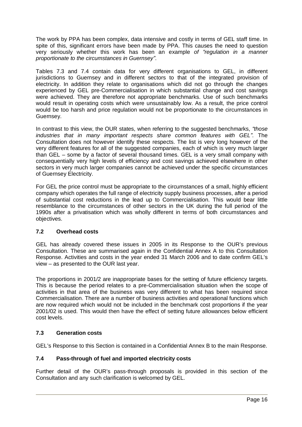The work by PPA has been complex, data intensive and costly in terms of GEL staff time. In spite of this, significant errors have been made by PPA. This causes the need to question very seriously whether this work has been an example of "regulation in a manner *proportionate to the circumstances in Guernsey´*.

Tables 7.3 and 7.4 contain data for very different organisations to GEL, in different jurisdictions to Guernsey and in different sectors to that of the integrated provision of electricity. In addition they relate to organisations which did not go through the changes experienced by GEL pre-Commercialisation in which substantial change and cost savings were achieved. They are therefore not appropriate benchmarks. Use of such benchmarks would result in operating costs which were unsustainably low. As a result, the price control would be too harsh and price regulation would not be proportionate to the circumstances in Guernsey.

In contrast to this view, the OUR states, when referring to the suggested benchmarks, "those *industries that in many important respects share common features with GEL´*. The Consultation does not however identify these respects. The list is very long however of the very different features for all of the suggested companies, each of which is very much larger than GEL – some by a factor of several thousand times. GEL is a very small company with consequentially very high levels of efficiency and cost savings achieved elsewhere in other sectors in very much larger companies cannot be achieved under the specific circumstances of Guernsey Electricity.

For GEL the price control must be appropriate to the circumstances of a small, highly efficient company which operates the full range of electricity supply business processes, after a period of substantial cost reductions in the lead up to Commercialisation. This would bear little resemblance to the circumstances of other sectors in the UK during the full period of the 1990s after a privatisation which was wholly different in terms of both circumstances and objectives.

# **7.2 Overhead costs**

GEL has already covered these issues in 2005 in its Response to the OUR's previous Consultation. These are summarised again in the Confidential Annex A to this Consultation Response. Activities and costs in the year ended 31 March 2006 and to date confirm GEL's view – as presented to the OUR last year.

The proportions in 2001/2 are inappropriate bases for the setting of future efficiency targets. This is because the period relates to a pre-Commercialisation situation when the scope of activities in that area of the business was very different to what has been required since Commercialisation. There are a number of business activities and operational functions which are now required which would not be included in the benchmark cost proportions if the year 2001/02 is used. This would then have the effect of setting future allowances below efficient cost levels.

#### **7.3 Generation costs**

GEL's Response to this Section is contained in a Confidential Annex B to the main Response.

#### **7.4 Pass-through of fuel and imported electricity costs**

Further detail of the OUR's pass-through proposals is provided in this section of the Consultation and any such clarification is welcomed by GEL.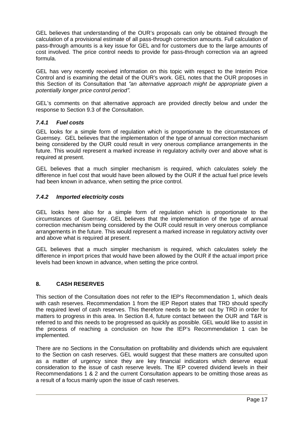GEL believes that understanding of the OUR's proposals can only be obtained through the calculation of a provisional estimate of all pass-through correction amounts. Full calculation of pass-through amounts is a key issue for GEL and for customers due to the large amounts of cost involved. The price control needs to provide for pass-through correction via an agreed formula.

GEL has very recently received information on this topic with respect to the Interim Price Control and is examining the detail of the OUR's work. GEL notes that the OUR proposes in this Section of its Consultation that *³an alternative approach might be appropriate given a potentially longer price control period´.*

GEL's comments on that alternative approach are provided directly below and under the response to Section 9.3 of the Consultation.

#### *7.4.1 Fuel costs*

GEL looks for a simple form of regulation which is proportionate to the circumstances of Guernsey. GEL believes that the implementation of the type of annual correction mechanism being considered by the OUR could result in very onerous compliance arrangements in the future. This would represent a marked increase in regulatory activity over and above what is required at present.

GEL believes that a much simpler mechanism is required, which calculates solely the difference in fuel cost that would have been allowed by the OUR if the actual fuel price levels had been known in advance, when setting the price control.

#### *7.4.2 Imported electricity costs*

GEL looks here also for a simple form of regulation which is proportionate to the circumstances of Guernsey. GEL believes that the implementation of the type of annual correction mechanism being considered by the OUR could result in very onerous compliance arrangements in the future. This would represent a marked increase in regulatory activity over and above what is required at present.

GEL believes that a much simpler mechanism is required, which calculates solely the difference in import prices that would have been allowed by the OUR if the actual import price levels had been known in advance, when setting the price control.

# **8. CASH RESERVES**

This section of the Consultation does not refer to the IEP's Recommendation 1, which deals with cash reserves. Recommendation 1 from the IEP Report states that TRD should specify the required level of cash reserves. This therefore needs to be set out by TRD in order for matters to progress in this area. In Section 8.4, future contact between the OUR and T&R is referred to and this needs to be progressed as quickly as possible. GEL would like to assist in the process of reaching a conclusion on how the IEP's Recommendation 1 can be implemented.

There are no Sections in the Consultation on profitability and dividends which are equivalent to the Section on cash reserves. GEL would suggest that these matters are consulted upon as a matter of urgency since they are key financial indicators which deserve equal consideration to the issue of cash reserve levels. The IEP covered dividend levels in their Recommendations 1 & 2 and the current Consultation appears to be omitting those areas as a result of a focus mainly upon the issue of cash reserves.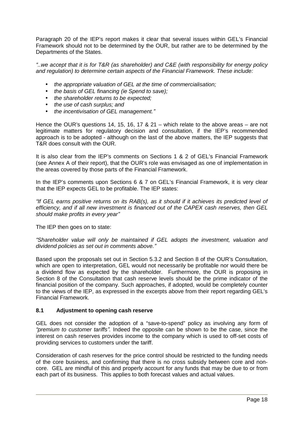Paragraph 20 of the IEP's report makes it clear that several issues within GEL's Financial Framework should not to be determined by the OUR, but rather are to be determined by the Departments of the States.

*³..we accept that it is for T&R (as shareholder) and C&E (with responsibility for energy policy and regulation) to determine certain aspects of the Financial Framework. These include:*

- *the appropriate valuation of GEL at the time of commercialisation;*
- *the basis of GEL financing (ie Spend to save);*
- *the shareholder returns to be expected;*
- *the use of cash surplus; and*
- *the incentivisation of GEL management.´*

Hence the OUR's questions 14, 15, 16, 17 & 21 – which relate to the above areas – are not legitimate matters for regulatory decision and consultation, if the IEP's recommended approach is to be adopted - although on the last of the above matters, the IEP suggests that T&R does consult with the OUR.

It is also clear from the IEP's comments on Sections 1 & 2 of GEL's Financial Framework (see Annex A of their report), that the OUR's role was envisaged as one of implementation in the areas covered by those parts of the Financial Framework.

In the IEP's comments upon Sections 6 & 7 on GEL's Financial Framework, it is very clear that the IEP expects GEL to be profitable. The IEP states:

*³If GEL earns positive returns on its RAB(s), as it should if it achieves its predicted level of efficiency, and if all new investment is financed out of the CAPEX cash reserves, then GEL should make profits in every year´*

The IEP then goes on to state:

*³Shareholder value will only be maintained if GEL adopts the investment, valuation and dividend policies as set out in comments above.´*

Based upon the proposals set out in Section 5.3.2 and Section 8 of the OUR's Consultation, which are open to interpretation, GEL would not necessarily be profitable nor would there be a dividend flow as expected by the shareholder. Furthermore, the OUR is proposing in Section 8 of the Consultation that cash reserve levels should be the prime indicator of the financial position of the company. Such approaches, if adopted, would be completely counter to the views of the IEP, as expressed in the excerpts above from their report regarding GEL's Financial Framework.

#### **8.1 Adjustment to opening cash reserve**

GEL does not consider the adoption of a "save-to-spend" policy as involving any form of *³premium to customer tariffs´.* Indeed the opposite can be shown to be the case, since the interest on cash reserves provides income to the company which is used to off-set costs of providing services to customers under the tariff.

Consideration of cash reserves for the price control should be restricted to the funding needs of the core business, and confirming that there is no cross subsidy between core and noncore. GEL are mindful of this and properly account for any funds that may be due to or from each part of its business. This applies to both forecast values and actual values.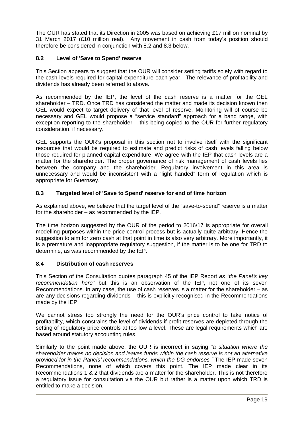The OUR has stated that its Direction in 2005 was based on achieving £17 million nominal by 31 March 2017 (£10 million real). Any movement in cash from today's position should therefore be considered in conjunction with 8.2 and 8.3 below.

#### **8.2 Level of 'Save to Spend' reserve**

This Section appears to suggest that the OUR will consider setting tariffs solely with regard to the cash levels required for capital expenditure each year. The relevance of profitability and dividends has already been referred to above.

As recommended by the IEP, the level of the cash reserve is a matter for the GEL shareholder – TRD. Once TRD has considered the matter and made its decision known then GEL would expect to target delivery of that level of reserve. Monitoring will of course be necessary and GEL would propose a "service standard" approach for a band range, with exception reporting to the shareholder – this being copied to the OUR for further regulatory consideration, if necessary.

GEL supports the OUR's proposal in this section not to involve itself with the significant resources that would be required to estimate and predict risks of cash levels falling below those required for planned capital expenditure. We agree with the IEP that cash levels are a matter for the shareholder. The proper governance of risk management of cash levels lies between the company and the shareholder. Regulatory involvement in this area is unnecessary and would be inconsistent with a "light handed" form of regulation which is appropriate for Guernsey.

# **8.3 Targeted level of 'Save to Spend' reserve for end of time horizon**

As explained above, we believe that the target level of the "save-to-spend" reserve is a matter for the shareholder – as recommended by the IEP.

The time horizon suggested by the OUR of the period to 2016/17 is appropriate for overall modelling purposes within the price control process but is actually quite arbitrary. Hence the suggestion to aim for zero cash at that point in time is also very arbitrary. More importantly, it is a premature and inappropriate regulatory suggestion, if the matter is to be one for TRD to determine, as was recommended by the IEP.

#### **8.4 Distribution of cash reserves**

This Section of the Consultation quotes paragraph 45 of the IEP Report *as ³the Panel¶s key recommendation here´* but this is an observation of the IEP, not one of its seven Recommendations. In any case, the use of cash reserves is a matter for the shareholder – as are any decisions regarding dividends – this is explicitly recognised in the Recommendations made by the IEP.

We cannot stress too strongly the need for the OUR's price control to take notice of profitability, which constrains the level of dividends if profit reserves are depleted through the setting of regulatory price controls at too low a level. These are legal requirements which are based around statutory accounting rules.

Similarly to the point made above, the OUR is incorrect in saying *³a situation where the shareholder makes no decision and leaves funds within the cash reserve is not an alternative provided for in the Panels¶ recommendations, which the DG endorses.´* The IEP made seven Recommendations, none of which covers this point. The IEP made clear in its Recommendations 1 & 2 that dividends are a matter for the shareholder. This is not therefore a regulatory issue for consultation via the OUR but rather is a matter upon which TRD is entitled to make a decision.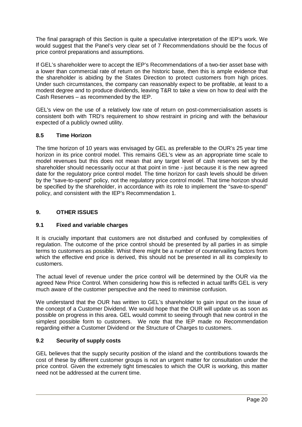The final paragraph of this Section is quite a speculative interpretation of the IEP's work. We would suggest that the Panel's very clear set of 7 Recommendations should be the focus of price control preparations and assumptions.

If GEL's shareholder were to accept the IEP's Recommendations of a two-tier asset base with a lower than commercial rate of return on the historic base, then this is ample evidence that the shareholder is abiding by the States Direction to protect customers from high prices. Under such circumstances, the company can reasonably expect to be profitable, at least to a modest degree and to produce dividends, leaving T&R to take a view on how to deal with the Cash Reserves – as recommended by the IEP.

GEL's view on the use of a relatively low rate of return on post-commercialisation assets is consistent both with TRD's requirement to show restraint in pricing and with the behaviour expected of a publicly owned utility.

# **8.5 Time Horizon**

The time horizon of 10 years was envisaged by GEL as preferable to the OUR's 25 year time horizon in its price control model. This remains GEL's view as an appropriate time scale to model revenues but this does not mean that any target level of cash reserves set by the shareholder should necessarily occur at that point in time - just because it is the new agreed date for the regulatory price control model. The time horizon for cash levels should be driven by the "save-to-spend" policy, not the regulatory price control model. That time horizon should be specified by the shareholder, in accordance with its role to implement the "save-to-spend" policy, and consistent with the IEP's Recommendation 1.

# **9. OTHER ISSUES**

# **9.1 Fixed and variable charges**

It is crucially important that customers are not disturbed and confused by complexities of regulation. The outcome of the price control should be presented by all parties in as simple terms to customers as possible. Whist there might be a number of countervailing factors from which the effective end price is derived, this should not be presented in all its complexity to customers.

The actual level of revenue under the price control will be determined by the OUR via the agreed New Price Control. When considering how this is reflected in actual tariffs GEL is very much aware of the customer perspective and the need to minimise confusion.

We understand that the OUR has written to GEL's shareholder to gain input on the issue of the concept of a Customer Dividend. We would hope that the OUR will update us as soon as possible on progress in this area. GEL would commit to seeing through that new control in the simplest possible form to customers. We note that the IEP made no Recommendation regarding either a Customer Dividend or the Structure of Charges to customers.

# **9.2 Security of supply costs**

GEL believes that the supply security position of the island and the contributions towards the cost of these by different customer groups is not an urgent matter for consultation under the price control. Given the extremely tight timescales to which the OUR is working, this matter need not be addressed at the current time.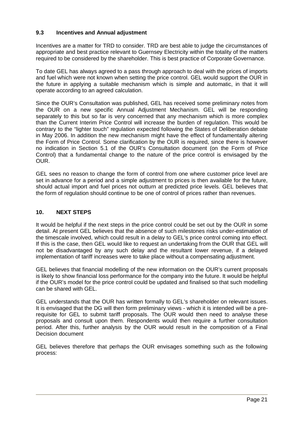#### **9.3 Incentives and Annual adjustment**

Incentives are a matter for TRD to consider. TRD are best able to judge the circumstances of appropriate and best practice relevant to Guernsey Electricity within the totality of the matters required to be considered by the shareholder. This is best practice of Corporate Governance.

To date GEL has always agreed to a pass through approach to deal with the prices of imports and fuel which were not known when setting the price control. GEL would support the OUR in the future in applying a suitable mechanism which is simple and automatic, in that it will operate according to an agreed calculation.

Since the OUR's Consultation was published, GEL has received some preliminary notes from the OUR on a new specific Annual Adjustment Mechanism. GEL will be responding separately to this but so far is very concerned that any mechanism which is more complex than the Current Interim Price Control will increase the burden of regulation. This would be contrary to the "lighter touch" regulation expected following the States of Deliberation debate in May 2006. In addition the new mechanism might have the effect of fundamentally altering the Form of Price Control. Some clarification by the OUR is required, since there is however no indication in Section 5.1 of the OUR's Consultation document (on the Form of Price Control) that a fundamental change to the nature of the price control is envisaged by the OUR.

GEL sees no reason to change the form of control from one where customer price level are set in advance for a period and a simple adjustment to prices is then available for the future, should actual import and fuel prices not outturn at predicted price levels. GEL believes that the form of regulation should continue to be one of control of prices rather than revenues.

#### **10. NEXT STEPS**

It would be helpful if the next steps in the price control could be set out by the OUR in some detail. At present GEL believes that the absence of such milestones risks under-estimation of the timescale involved, which could result in a delay to GEL's price control coming into effect. If this is the case, then GEL would like to request an undertaking from the OUR that GEL will not be disadvantaged by any such delay and the resultant lower revenue, if a delayed implementation of tariff increases were to take place without a compensating adjustment.

GEL believes that financial modelling of the new information on the OUR's current proposals is likely to show financial loss performance for the company into the future. It would be helpful if the OUR's model for the price control could be updated and finalised so that such modelling can be shared with GEL.

GEL understands that the OUR has written formally to GEL's shareholder on relevant issues. It is envisaged that the DG will then form preliminary views - which it is intended will be a prerequisite for GEL to submit tariff proposals. The OUR would then need to analyse these proposals and consult upon them. Respondents would then require a further consultation period. After this, further analysis by the OUR would result in the composition of a Final Decision document

GEL believes therefore that perhaps the OUR envisages something such as the following process: